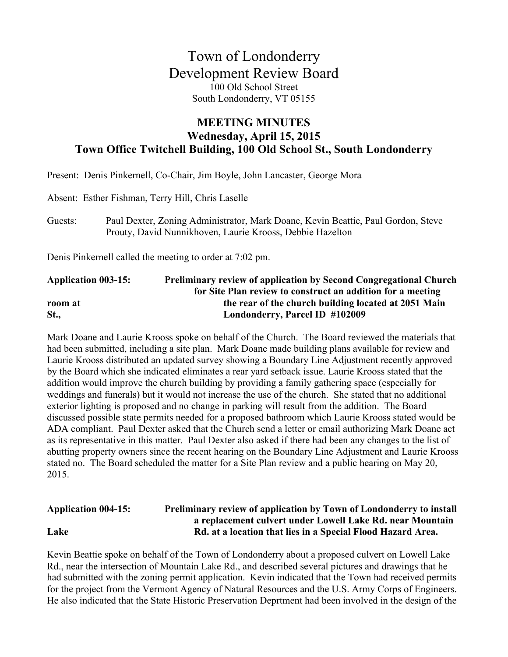# Town of Londonderry Development Review Board 100 Old School Street South Londonderry, VT 05155

### **MEETING MINUTES Wednesday, April 15, 2015 Town Office Twitchell Building, 100 Old School St., South Londonderry**

Present: Denis Pinkernell, Co-Chair, Jim Boyle, John Lancaster, George Mora Absent: Esther Fishman, Terry Hill, Chris Laselle Guests: Paul Dexter, Zoning Administrator, Mark Doane, Kevin Beattie, Paul Gordon, Steve Prouty, David Nunnikhoven, Laurie Krooss, Debbie Hazelton Denis Pinkernell called the meeting to order at 7:02 pm. **Application 003-15: Preliminary review of application by Second Congregational Church** 

# **for Site Plan review to construct an addition for a meeting room at the rear of the church building located at 2051 Main St., Londonderry, Parcel ID #102009**

Mark Doane and Laurie Krooss spoke on behalf of the Church. The Board reviewed the materials that had been submitted, including a site plan. Mark Doane made building plans available for review and Laurie Krooss distributed an updated survey showing a Boundary Line Adjustment recently approved by the Board which she indicated eliminates a rear yard setback issue. Laurie Krooss stated that the addition would improve the church building by providing a family gathering space (especially for weddings and funerals) but it would not increase the use of the church. She stated that no additional exterior lighting is proposed and no change in parking will result from the addition. The Board discussed possible state permits needed for a proposed bathroom which Laurie Krooss stated would be ADA compliant. Paul Dexter asked that the Church send a letter or email authorizing Mark Doane act as its representative in this matter. Paul Dexter also asked if there had been any changes to the list of abutting property owners since the recent hearing on the Boundary Line Adjustment and Laurie Krooss stated no. The Board scheduled the matter for a Site Plan review and a public hearing on May 20, 2015.

#### **Application 004-15: Preliminary review of application by Town of Londonderry to install a replacement culvert under Lowell Lake Rd. near Mountain Lake Rd. at a location that lies in a Special Flood Hazard Area.**

Kevin Beattie spoke on behalf of the Town of Londonderry about a proposed culvert on Lowell Lake Rd., near the intersection of Mountain Lake Rd., and described several pictures and drawings that he had submitted with the zoning permit application. Kevin indicated that the Town had received permits for the project from the Vermont Agency of Natural Resources and the U.S. Army Corps of Engineers. He also indicated that the State Historic Preservation Deprtment had been involved in the design of the